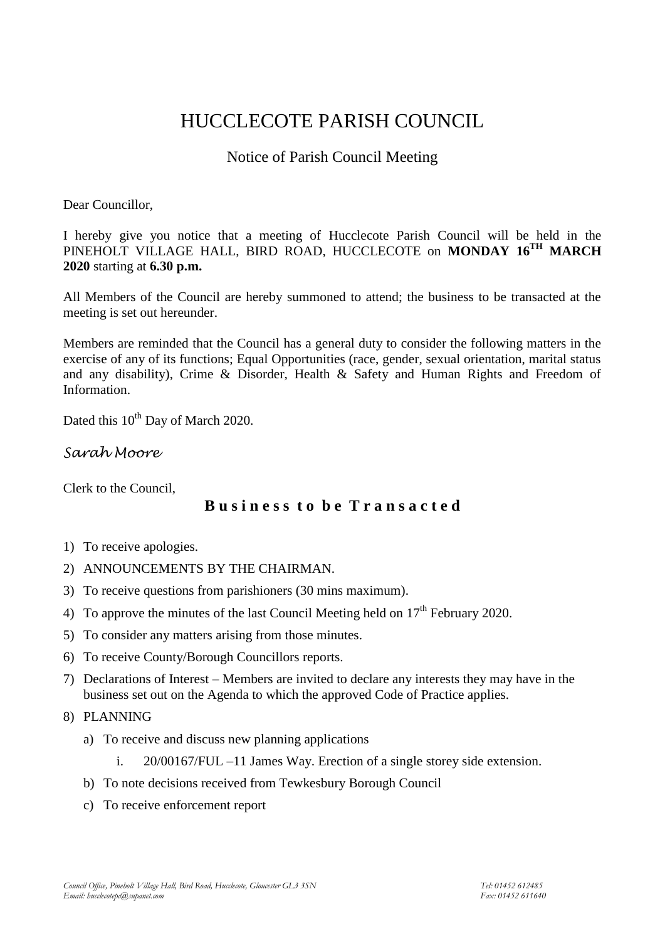# HUCCLECOTE PARISH COUNCIL

## Notice of Parish Council Meeting

Dear Councillor,

I hereby give you notice that a meeting of Hucclecote Parish Council will be held in the PINEHOLT VILLAGE HALL, BIRD ROAD, HUCCLECOTE on **MONDAY 16 TH MARCH 2020** starting at **6.30 p.m.**

All Members of the Council are hereby summoned to attend; the business to be transacted at the meeting is set out hereunder.

Members are reminded that the Council has a general duty to consider the following matters in the exercise of any of its functions; Equal Opportunities (race, gender, sexual orientation, marital status and any disability), Crime & Disorder, Health & Safety and Human Rights and Freedom of Information.

Dated this 10<sup>th</sup> Day of March 2020.

*Sarah Moore*

Clerk to the Council,

### **B u s i n e s s t o b e T r a n s a c t e d**

- 1) To receive apologies.
- 2) ANNOUNCEMENTS BY THE CHAIRMAN.
- 3) To receive questions from parishioners (30 mins maximum).
- 4) To approve the minutes of the last Council Meeting held on  $17<sup>th</sup>$  February 2020.
- 5) To consider any matters arising from those minutes.
- 6) To receive County/Borough Councillors reports.
- 7) Declarations of Interest Members are invited to declare any interests they may have in the business set out on the Agenda to which the approved Code of Practice applies.
- 8) PLANNING
	- a) To receive and discuss new planning applications
		- i. 20/00167/FUL –11 James Way. Erection of a single storey side extension.
	- b) To note decisions received from Tewkesbury Borough Council
	- c) To receive enforcement report